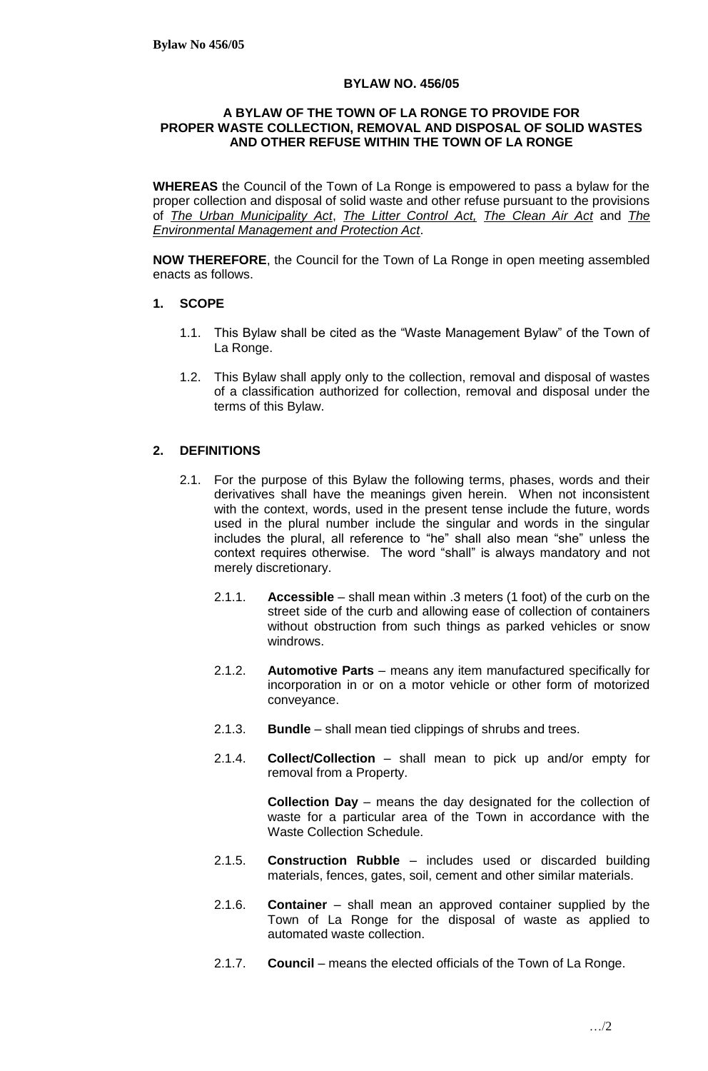#### **BYLAW NO. 456/05**

#### **A BYLAW OF THE TOWN OF LA RONGE TO PROVIDE FOR PROPER WASTE COLLECTION, REMOVAL AND DISPOSAL OF SOLID WASTES AND OTHER REFUSE WITHIN THE TOWN OF LA RONGE**

**WHEREAS** the Council of the Town of La Ronge is empowered to pass a bylaw for the proper collection and disposal of solid waste and other refuse pursuant to the provisions of *The Urban Municipality Act*, *The Litter Control Act, The Clean Air Act* and *The Environmental Management and Protection Act*.

**NOW THEREFORE**, the Council for the Town of La Ronge in open meeting assembled enacts as follows.

- **1. SCOPE**
	- 1.1. This Bylaw shall be cited as the "Waste Management Bylaw" of the Town of La Ronge.
	- 1.2. This Bylaw shall apply only to the collection, removal and disposal of wastes of a classification authorized for collection, removal and disposal under the terms of this Bylaw.

### **2. DEFINITIONS**

- 2.1. For the purpose of this Bylaw the following terms, phases, words and their derivatives shall have the meanings given herein. When not inconsistent with the context, words, used in the present tense include the future, words used in the plural number include the singular and words in the singular includes the plural, all reference to "he" shall also mean "she" unless the context requires otherwise. The word "shall" is always mandatory and not merely discretionary.
	- 2.1.1. **Accessible**  shall mean within .3 meters (1 foot) of the curb on the street side of the curb and allowing ease of collection of containers without obstruction from such things as parked vehicles or snow windrows.
	- 2.1.2. **Automotive Parts** means any item manufactured specifically for incorporation in or on a motor vehicle or other form of motorized conveyance.
	- 2.1.3. **Bundle** shall mean tied clippings of shrubs and trees.
	- 2.1.4. **Collect/Collection** shall mean to pick up and/or empty for removal from a Property.

**Collection Day** – means the day designated for the collection of waste for a particular area of the Town in accordance with the Waste Collection Schedule.

- 2.1.5. **Construction Rubble** includes used or discarded building materials, fences, gates, soil, cement and other similar materials.
- 2.1.6. **Container** shall mean an approved container supplied by the Town of La Ronge for the disposal of waste as applied to automated waste collection.
- 2.1.7. **Council** means the elected officials of the Town of La Ronge.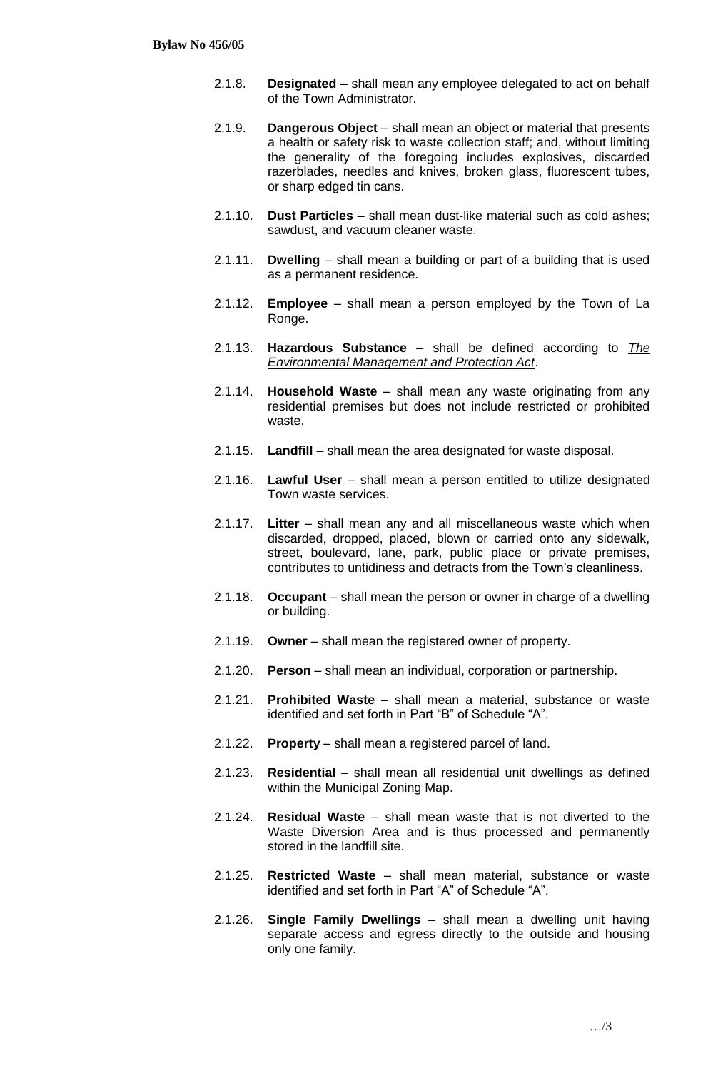- 2.1.8. **Designated** shall mean any employee delegated to act on behalf of the Town Administrator.
- 2.1.9. **Dangerous Object** shall mean an object or material that presents a health or safety risk to waste collection staff; and, without limiting the generality of the foregoing includes explosives, discarded razerblades, needles and knives, broken glass, fluorescent tubes, or sharp edged tin cans.
- 2.1.10. **Dust Particles** shall mean dust-like material such as cold ashes; sawdust, and vacuum cleaner waste.
- 2.1.11. **Dwelling** shall mean a building or part of a building that is used as a permanent residence.
- 2.1.12. **Employee** shall mean a person employed by the Town of La Ronge.
- 2.1.13. **Hazardous Substance** shall be defined according to *The Environmental Management and Protection Act*.
- 2.1.14. **Household Waste** shall mean any waste originating from any residential premises but does not include restricted or prohibited waste.
- 2.1.15. **Landfill** shall mean the area designated for waste disposal.
- 2.1.16. **Lawful User** shall mean a person entitled to utilize designated Town waste services.
- 2.1.17. **Litter** shall mean any and all miscellaneous waste which when discarded, dropped, placed, blown or carried onto any sidewalk, street, boulevard, lane, park, public place or private premises, contributes to untidiness and detracts from the Town's cleanliness.
- 2.1.18. **Occupant** shall mean the person or owner in charge of a dwelling or building.
- 2.1.19. **Owner** shall mean the registered owner of property.
- 2.1.20. **Person** shall mean an individual, corporation or partnership.
- 2.1.21. **Prohibited Waste** shall mean a material, substance or waste identified and set forth in Part "B" of Schedule "A".
- 2.1.22. **Property** shall mean a registered parcel of land.
- 2.1.23. **Residential** shall mean all residential unit dwellings as defined within the Municipal Zoning Map.
- 2.1.24. **Residual Waste** shall mean waste that is not diverted to the Waste Diversion Area and is thus processed and permanently stored in the landfill site.
- 2.1.25. **Restricted Waste** shall mean material, substance or waste identified and set forth in Part "A" of Schedule "A".
- 2.1.26. **Single Family Dwellings** shall mean a dwelling unit having separate access and egress directly to the outside and housing only one family.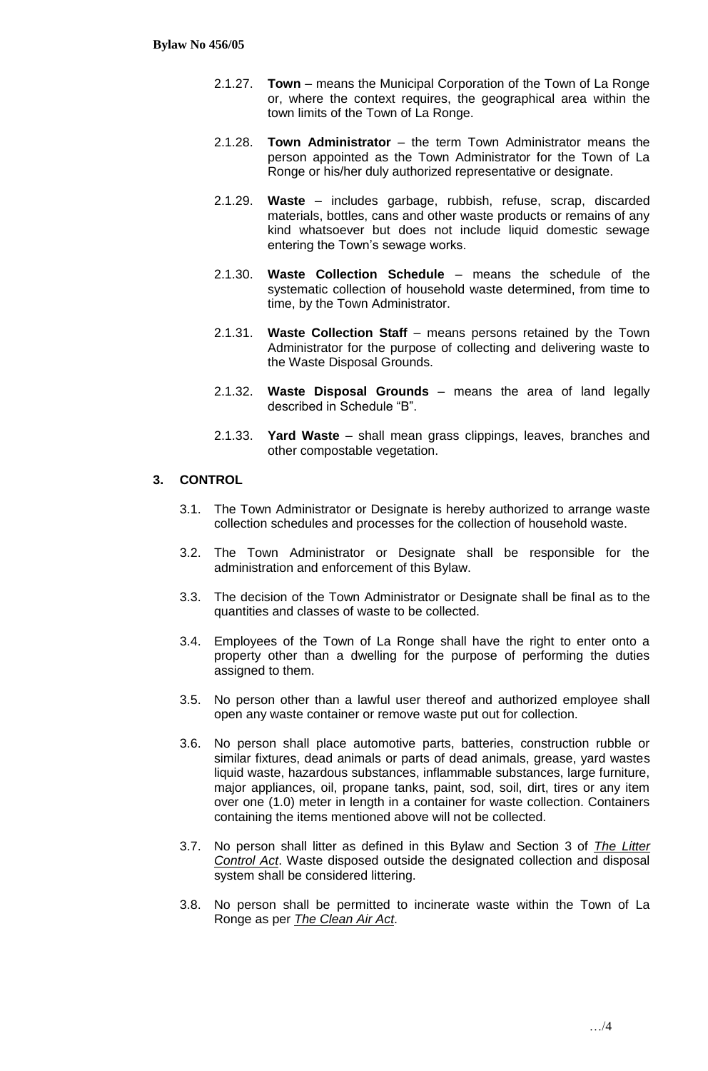- 2.1.27. **Town** means the Municipal Corporation of the Town of La Ronge or, where the context requires, the geographical area within the town limits of the Town of La Ronge.
- 2.1.28. **Town Administrator** the term Town Administrator means the person appointed as the Town Administrator for the Town of La Ronge or his/her duly authorized representative or designate.
- 2.1.29. **Waste** includes garbage, rubbish, refuse, scrap, discarded materials, bottles, cans and other waste products or remains of any kind whatsoever but does not include liquid domestic sewage entering the Town's sewage works.
- 2.1.30. **Waste Collection Schedule** means the schedule of the systematic collection of household waste determined, from time to time, by the Town Administrator.
- 2.1.31. **Waste Collection Staff** means persons retained by the Town Administrator for the purpose of collecting and delivering waste to the Waste Disposal Grounds.
- 2.1.32. **Waste Disposal Grounds** means the area of land legally described in Schedule "B".
- 2.1.33. **Yard Waste** shall mean grass clippings, leaves, branches and other compostable vegetation.

## **3. CONTROL**

- 3.1. The Town Administrator or Designate is hereby authorized to arrange waste collection schedules and processes for the collection of household waste.
- 3.2. The Town Administrator or Designate shall be responsible for the administration and enforcement of this Bylaw.
- 3.3. The decision of the Town Administrator or Designate shall be final as to the quantities and classes of waste to be collected.
- 3.4. Employees of the Town of La Ronge shall have the right to enter onto a property other than a dwelling for the purpose of performing the duties assigned to them.
- 3.5. No person other than a lawful user thereof and authorized employee shall open any waste container or remove waste put out for collection.
- 3.6. No person shall place automotive parts, batteries, construction rubble or similar fixtures, dead animals or parts of dead animals, grease, yard wastes liquid waste, hazardous substances, inflammable substances, large furniture, major appliances, oil, propane tanks, paint, sod, soil, dirt, tires or any item over one (1.0) meter in length in a container for waste collection. Containers containing the items mentioned above will not be collected.
- 3.7. No person shall litter as defined in this Bylaw and Section 3 of *The Litter Control Act*. Waste disposed outside the designated collection and disposal system shall be considered littering.
- 3.8. No person shall be permitted to incinerate waste within the Town of La Ronge as per *The Clean Air Act*.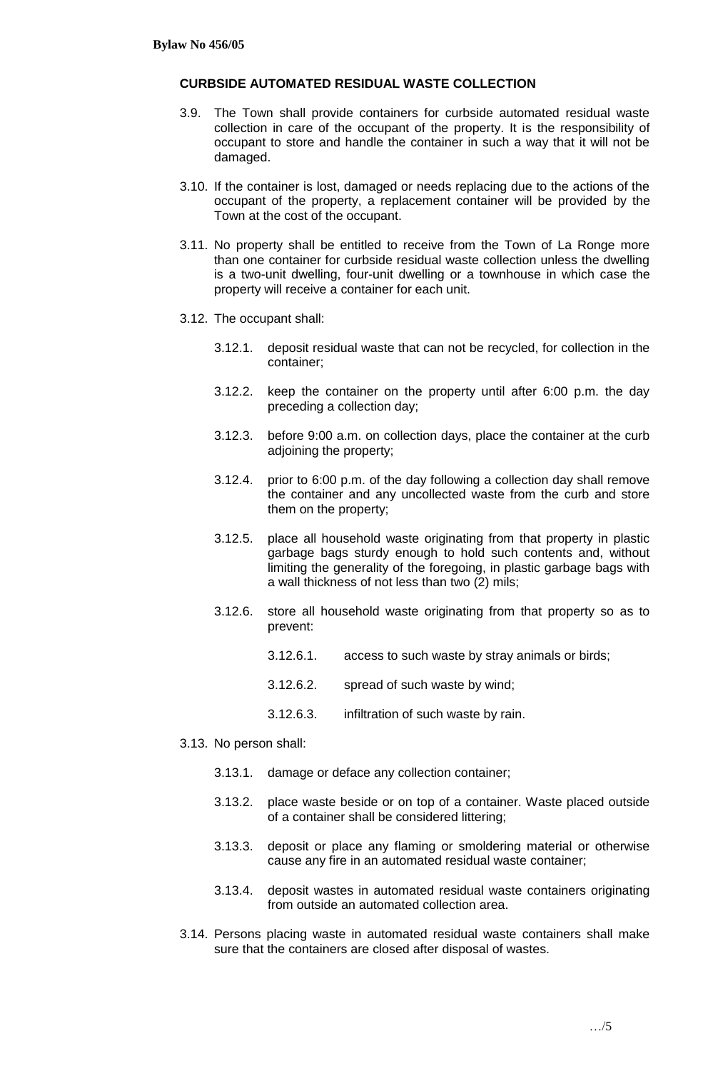#### **CURBSIDE AUTOMATED RESIDUAL WASTE COLLECTION**

- 3.9. The Town shall provide containers for curbside automated residual waste collection in care of the occupant of the property. It is the responsibility of occupant to store and handle the container in such a way that it will not be damaged.
- 3.10. If the container is lost, damaged or needs replacing due to the actions of the occupant of the property, a replacement container will be provided by the Town at the cost of the occupant.
- 3.11. No property shall be entitled to receive from the Town of La Ronge more than one container for curbside residual waste collection unless the dwelling is a two-unit dwelling, four-unit dwelling or a townhouse in which case the property will receive a container for each unit.
- 3.12. The occupant shall:
	- 3.12.1. deposit residual waste that can not be recycled, for collection in the container;
	- 3.12.2. keep the container on the property until after 6:00 p.m. the day preceding a collection day;
	- 3.12.3. before 9:00 a.m. on collection days, place the container at the curb adjoining the property;
	- 3.12.4. prior to 6:00 p.m. of the day following a collection day shall remove the container and any uncollected waste from the curb and store them on the property;
	- 3.12.5. place all household waste originating from that property in plastic garbage bags sturdy enough to hold such contents and, without limiting the generality of the foregoing, in plastic garbage bags with a wall thickness of not less than two (2) mils;
	- 3.12.6. store all household waste originating from that property so as to prevent:
		- 3.12.6.1. access to such waste by stray animals or birds;
		- 3.12.6.2. spread of such waste by wind;
		- 3.12.6.3. infiltration of such waste by rain.
- 3.13. No person shall:
	- 3.13.1. damage or deface any collection container;
	- 3.13.2. place waste beside or on top of a container. Waste placed outside of a container shall be considered littering;
	- 3.13.3. deposit or place any flaming or smoldering material or otherwise cause any fire in an automated residual waste container;
	- 3.13.4. deposit wastes in automated residual waste containers originating from outside an automated collection area.
- 3.14. Persons placing waste in automated residual waste containers shall make sure that the containers are closed after disposal of wastes.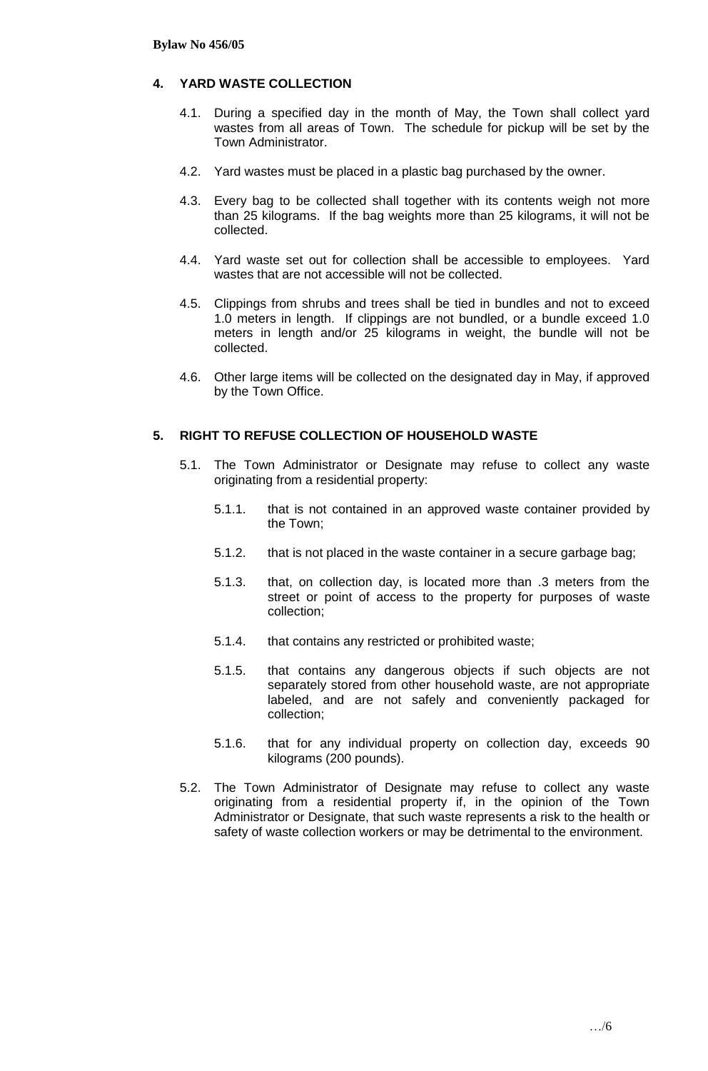## **4. YARD WASTE COLLECTION**

- 4.1. During a specified day in the month of May, the Town shall collect yard wastes from all areas of Town. The schedule for pickup will be set by the Town Administrator.
- 4.2. Yard wastes must be placed in a plastic bag purchased by the owner.
- 4.3. Every bag to be collected shall together with its contents weigh not more than 25 kilograms. If the bag weights more than 25 kilograms, it will not be collected.
- 4.4. Yard waste set out for collection shall be accessible to employees. Yard wastes that are not accessible will not be collected.
- 4.5. Clippings from shrubs and trees shall be tied in bundles and not to exceed 1.0 meters in length. If clippings are not bundled, or a bundle exceed 1.0 meters in length and/or 25 kilograms in weight, the bundle will not be collected.
- 4.6. Other large items will be collected on the designated day in May, if approved by the Town Office.

### **5. RIGHT TO REFUSE COLLECTION OF HOUSEHOLD WASTE**

- 5.1. The Town Administrator or Designate may refuse to collect any waste originating from a residential property:
	- 5.1.1. that is not contained in an approved waste container provided by the Town;
	- 5.1.2. that is not placed in the waste container in a secure garbage bag;
	- 5.1.3. that, on collection day, is located more than .3 meters from the street or point of access to the property for purposes of waste collection;
	- 5.1.4. that contains any restricted or prohibited waste;
	- 5.1.5. that contains any dangerous objects if such objects are not separately stored from other household waste, are not appropriate labeled, and are not safely and conveniently packaged for collection;
	- 5.1.6. that for any individual property on collection day, exceeds 90 kilograms (200 pounds).
- 5.2. The Town Administrator of Designate may refuse to collect any waste originating from a residential property if, in the opinion of the Town Administrator or Designate, that such waste represents a risk to the health or safety of waste collection workers or may be detrimental to the environment.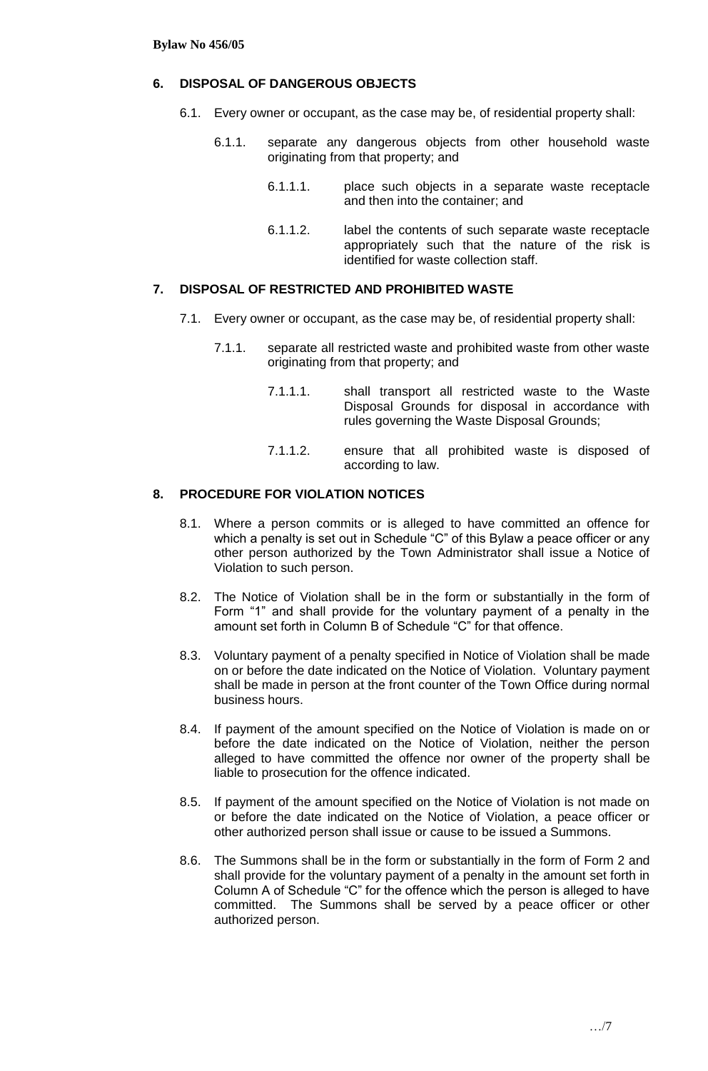#### **6. DISPOSAL OF DANGEROUS OBJECTS**

- 6.1. Every owner or occupant, as the case may be, of residential property shall:
	- 6.1.1. separate any dangerous objects from other household waste originating from that property; and
		- 6.1.1.1. place such objects in a separate waste receptacle and then into the container; and
		- 6.1.1.2. label the contents of such separate waste receptacle appropriately such that the nature of the risk is identified for waste collection staff.

## **7. DISPOSAL OF RESTRICTED AND PROHIBITED WASTE**

- 7.1. Every owner or occupant, as the case may be, of residential property shall:
	- 7.1.1. separate all restricted waste and prohibited waste from other waste originating from that property; and
		- 7.1.1.1. shall transport all restricted waste to the Waste Disposal Grounds for disposal in accordance with rules governing the Waste Disposal Grounds;
		- 7.1.1.2. ensure that all prohibited waste is disposed of according to law.

#### **8. PROCEDURE FOR VIOLATION NOTICES**

- 8.1. Where a person commits or is alleged to have committed an offence for which a penalty is set out in Schedule "C" of this Bylaw a peace officer or any other person authorized by the Town Administrator shall issue a Notice of Violation to such person.
- 8.2. The Notice of Violation shall be in the form or substantially in the form of Form "1" and shall provide for the voluntary payment of a penalty in the amount set forth in Column B of Schedule "C" for that offence.
- 8.3. Voluntary payment of a penalty specified in Notice of Violation shall be made on or before the date indicated on the Notice of Violation. Voluntary payment shall be made in person at the front counter of the Town Office during normal business hours.
- 8.4. If payment of the amount specified on the Notice of Violation is made on or before the date indicated on the Notice of Violation, neither the person alleged to have committed the offence nor owner of the property shall be liable to prosecution for the offence indicated.
- 8.5. If payment of the amount specified on the Notice of Violation is not made on or before the date indicated on the Notice of Violation, a peace officer or other authorized person shall issue or cause to be issued a Summons.
- 8.6. The Summons shall be in the form or substantially in the form of Form 2 and shall provide for the voluntary payment of a penalty in the amount set forth in Column A of Schedule "C" for the offence which the person is alleged to have committed. The Summons shall be served by a peace officer or other authorized person.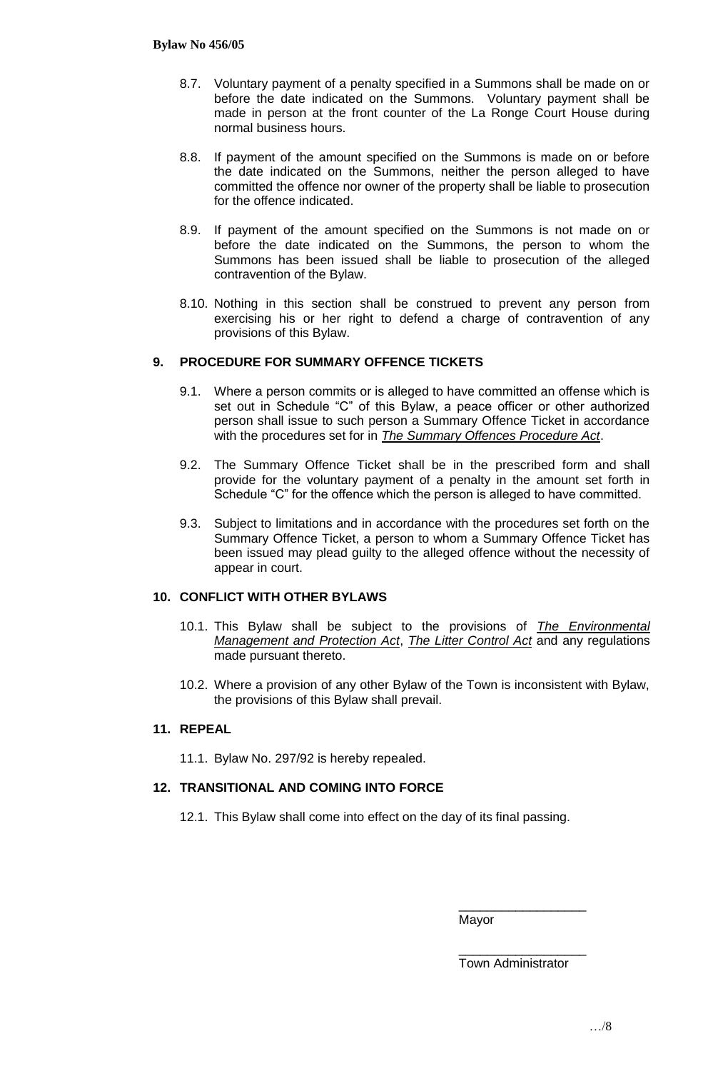- 8.7. Voluntary payment of a penalty specified in a Summons shall be made on or before the date indicated on the Summons. Voluntary payment shall be made in person at the front counter of the La Ronge Court House during normal business hours.
- 8.8. If payment of the amount specified on the Summons is made on or before the date indicated on the Summons, neither the person alleged to have committed the offence nor owner of the property shall be liable to prosecution for the offence indicated.
- 8.9. If payment of the amount specified on the Summons is not made on or before the date indicated on the Summons, the person to whom the Summons has been issued shall be liable to prosecution of the alleged contravention of the Bylaw.
- 8.10. Nothing in this section shall be construed to prevent any person from exercising his or her right to defend a charge of contravention of any provisions of this Bylaw.

### **9. PROCEDURE FOR SUMMARY OFFENCE TICKETS**

- 9.1. Where a person commits or is alleged to have committed an offense which is set out in Schedule "C" of this Bylaw, a peace officer or other authorized person shall issue to such person a Summary Offence Ticket in accordance with the procedures set for in *The Summary Offences Procedure Act*.
- 9.2. The Summary Offence Ticket shall be in the prescribed form and shall provide for the voluntary payment of a penalty in the amount set forth in Schedule "C" for the offence which the person is alleged to have committed.
- 9.3. Subject to limitations and in accordance with the procedures set forth on the Summary Offence Ticket, a person to whom a Summary Offence Ticket has been issued may plead guilty to the alleged offence without the necessity of appear in court.

### **10. CONFLICT WITH OTHER BYLAWS**

- 10.1. This Bylaw shall be subject to the provisions of *The Environmental Management and Protection Act*, *The Litter Control Act* and any regulations made pursuant thereto.
- 10.2. Where a provision of any other Bylaw of the Town is inconsistent with Bylaw, the provisions of this Bylaw shall prevail.

### **11. REPEAL**

11.1. Bylaw No. 297/92 is hereby repealed.

### **12. TRANSITIONAL AND COMING INTO FORCE**

12.1. This Bylaw shall come into effect on the day of its final passing.

Mayor

\_\_\_\_\_\_\_\_\_\_\_\_\_\_\_\_\_\_ Town Administrator

\_\_\_\_\_\_\_\_\_\_\_\_\_\_\_\_\_\_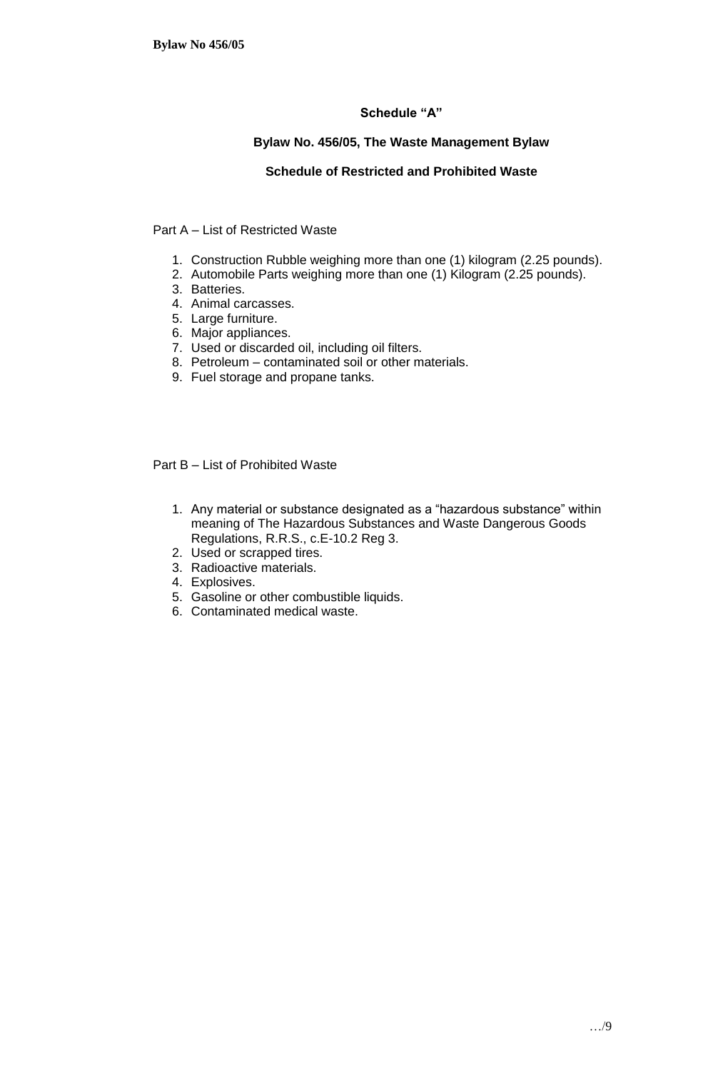# **Schedule "A"**

## **Bylaw No. 456/05, The Waste Management Bylaw**

## **Schedule of Restricted and Prohibited Waste**

## Part A – List of Restricted Waste

- 1. Construction Rubble weighing more than one (1) kilogram (2.25 pounds).
- 2. Automobile Parts weighing more than one (1) Kilogram (2.25 pounds).
- 3. Batteries.
- 4. Animal carcasses.
- 5. Large furniture.
- 6. Major appliances.
- 7. Used or discarded oil, including oil filters.
- 8. Petroleum contaminated soil or other materials.
- 9. Fuel storage and propane tanks.

Part B – List of Prohibited Waste

- 1. Any material or substance designated as a "hazardous substance" within meaning of The Hazardous Substances and Waste Dangerous Goods Regulations, R.R.S., c.E-10.2 Reg 3.
- 2. Used or scrapped tires.
- 3. Radioactive materials.
- 4. Explosives.
- 5. Gasoline or other combustible liquids.
- 6. Contaminated medical waste.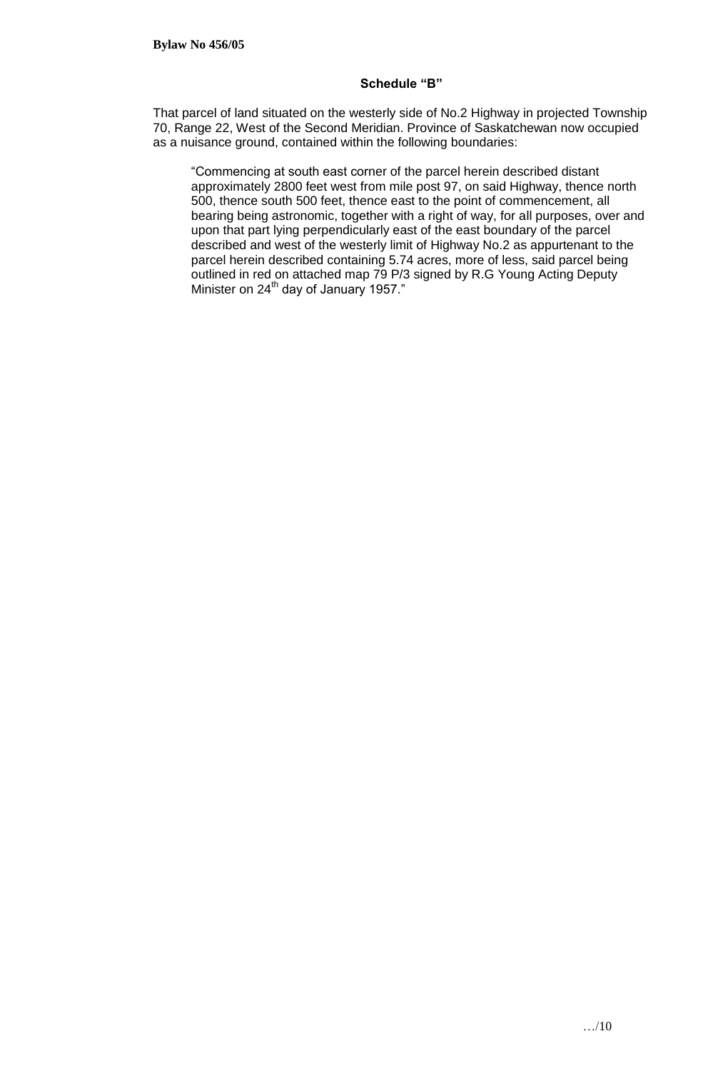### **Schedule "B"**

That parcel of land situated on the westerly side of No.2 Highway in projected Township 70, Range 22, West of the Second Meridian. Province of Saskatchewan now occupied as a nuisance ground, contained within the following boundaries:

"Commencing at south east corner of the parcel herein described distant approximately 2800 feet west from mile post 97, on said Highway, thence north 500, thence south 500 feet, thence east to the point of commencement, all bearing being astronomic, together with a right of way, for all purposes, over and upon that part lying perpendicularly east of the east boundary of the parcel described and west of the westerly limit of Highway No.2 as appurtenant to the parcel herein described containing 5.74 acres, more of less, said parcel being outlined in red on attached map 79 P/3 signed by R.G Young Acting Deputy Minister on  $24<sup>th</sup>$  day of January 1957."